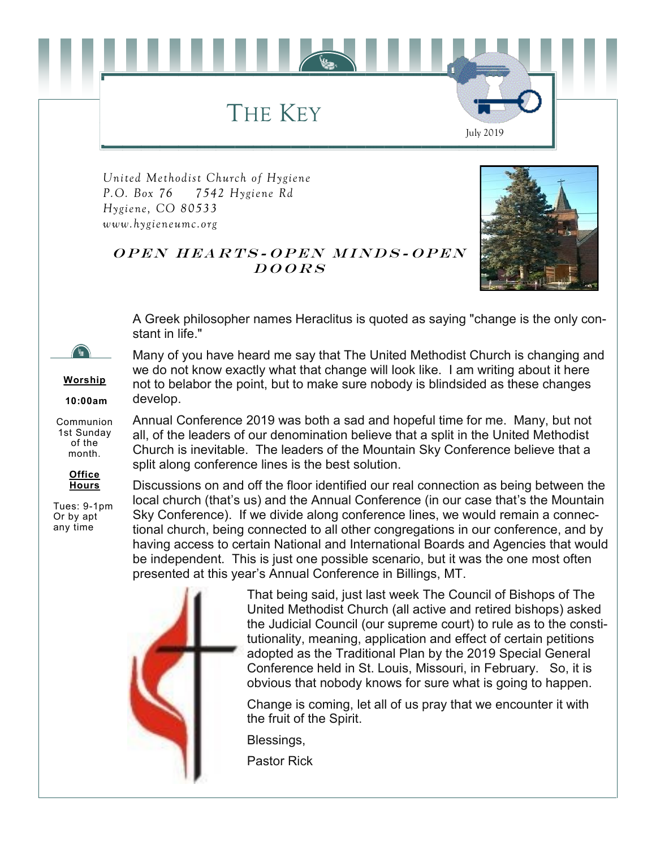## THE KEY

*United Methodist Church of Hygiene P.O. Box 76 7542 Hygiene Rd Hygiene, CO 80533 www.hygieneumc.org*



July 2019

#### OPEN HEARTS-OPEN MINDS-OPEN  $DOORS$

split along conference lines is the best solution.

A Greek philosopher names Heraclitus is quoted as saying "change is the only constant in life."

Many of you have heard me say that The United Methodist Church is changing and we do not know exactly what that change will look like. I am writing about it here

**Worship**

**10:00am**

Communion 1st Sunday of the month.



Tues: 9-1pm Or by apt any time

not to belabor the point, but to make sure nobody is blindsided as these changes develop. Annual Conference 2019 was both a sad and hopeful time for me. Many, but not all, of the leaders of our denomination believe that a split in the United Methodist Church is inevitable. The leaders of the Mountain Sky Conference believe that a

Discussions on and off the floor identified our real connection as being between the local church (that's us) and the Annual Conference (in our case that's the Mountain Sky Conference). If we divide along conference lines, we would remain a connectional church, being connected to all other congregations in our conference, and by having access to certain National and International Boards and Agencies that would be independent. This is just one possible scenario, but it was the one most often presented at this year's Annual Conference in Billings, MT.



That being said, just last week The Council of Bishops of The United Methodist Church (all active and retired bishops) asked the Judicial Council (our supreme court) to rule as to the constitutionality, meaning, application and effect of certain petitions adopted as the Traditional Plan by the 2019 Special General Conference held in St. Louis, Missouri, in February. So, it is obvious that nobody knows for sure what is going to happen.

Change is coming, let all of us pray that we encounter it with the fruit of the Spirit.

Blessings,

Pastor Rick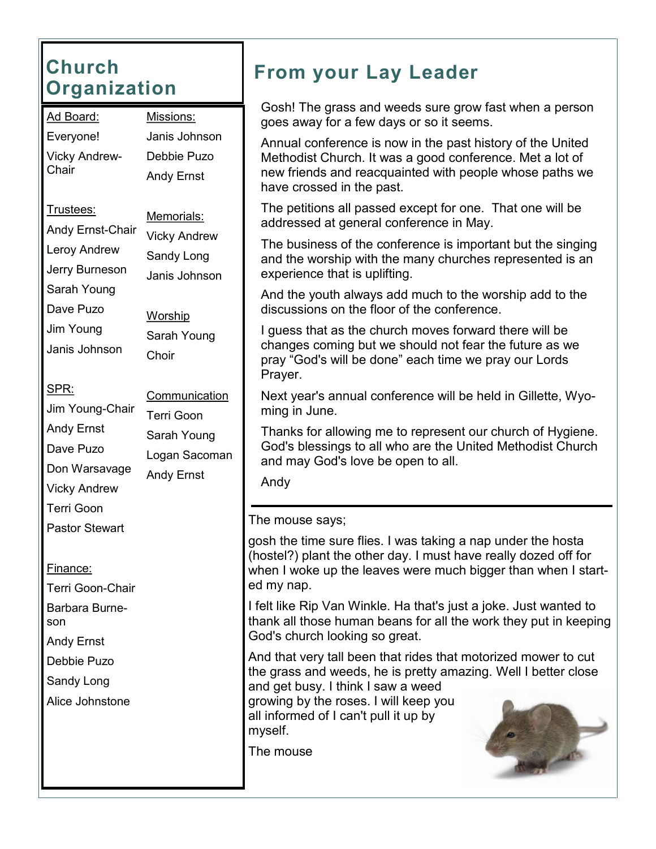## **Church Organization**

| <u> Ad Board:</u>                                                                                                                        | Missions:                                                                                                                           |  |  |
|------------------------------------------------------------------------------------------------------------------------------------------|-------------------------------------------------------------------------------------------------------------------------------------|--|--|
| Everyone!                                                                                                                                | Janis Johnson                                                                                                                       |  |  |
| <b>Vicky Andrew-</b>                                                                                                                     | Debbie Puzo                                                                                                                         |  |  |
| Chair                                                                                                                                    | <b>Andy Ernst</b>                                                                                                                   |  |  |
| Trustees:<br>Andy Ernst-Chair<br>Leroy Andrew<br>Jerry Burneson<br>Sarah Young<br>Dave Puzo<br>Jim Young<br>Janis Johnson<br><u>SPR:</u> | <u> Memorials:</u><br><b>Vicky Andrew</b><br>Sandy Long<br>Janis Johnson<br><u>Worship</u><br>Sarah Young<br>Choir<br>Communication |  |  |
| Jim Young-Chair<br>Andy Ernst<br>Dave Puzo<br>Don Warsavage<br><b>Vicky Andrew</b><br>Terri Goon<br><b>Pastor Stewart</b>                | <b>Terri Goon</b><br>Sarah Young<br>Logan Sacoman<br><b>Andy Ernst</b>                                                              |  |  |
| <u>Finance:</u><br>Terri Goon-Chair<br>Barbara Burne-<br>son<br>Andy Ernst<br>Debbie Puzo<br>Sandy Long<br>Alice Johnstone               |                                                                                                                                     |  |  |

## **From your Lay Leader**

Gosh! The grass and weeds sure grow fast when a person goes away for a few days or so it seems.

Annual conference is now in the past history of the United Methodist Church. It was a good conference. Met a lot of new friends and reacquainted with people whose paths we have crossed in the past.

The petitions all passed except for one. That one will be addressed at general conference in May.

The business of the conference is important but the singing and the worship with the many churches represented is an experience that is uplifting.

And the youth always add much to the worship add to the discussions on the floor of the conference.

I guess that as the church moves forward there will be changes coming but we should not fear the future as we pray "God's will be done" each time we pray our Lords Prayer.

Next year's annual conference will be held in Gillette, Wyoming in June.

Thanks for allowing me to represent our church of Hygiene. God's blessings to all who are the United Methodist Church and may God's love be open to all.

Andy

The mouse says;

gosh the time sure flies. I was taking a nap under the hosta (hostel?) plant the other day. I must have really dozed off for when I woke up the leaves were much bigger than when I started my nap.

I felt like Rip Van Winkle. Ha that's just a joke. Just wanted to thank all those human beans for all the work they put in keeping God's church looking so great.

And that very tall been that rides that motorized mower to cut the grass and weeds, he is pretty amazing. Well I better close and get busy. I think I saw a weed

growing by the roses. I will keep you all informed of I can't pull it up by myself.

The mouse

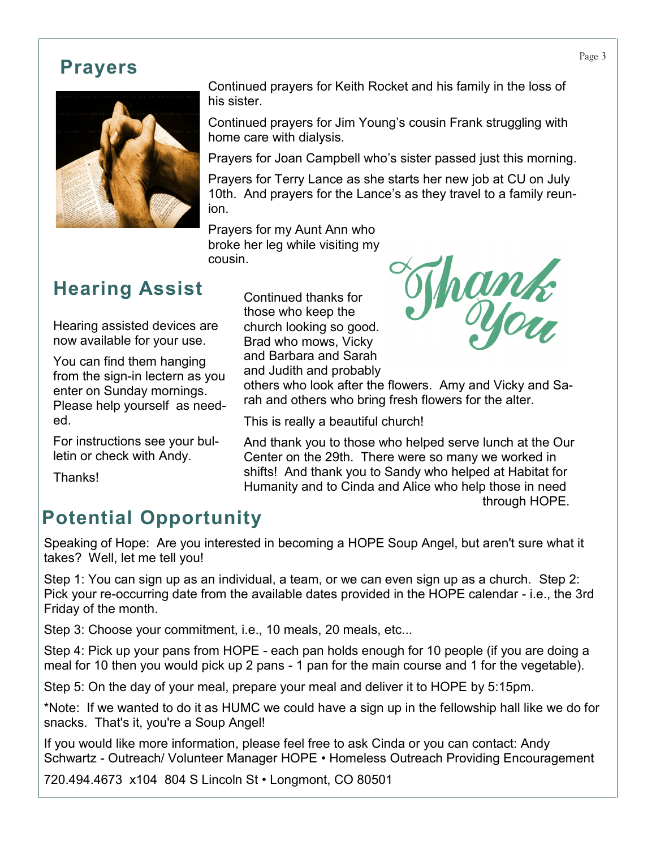#### **Prayers**



Continued prayers for Keith Rocket and his family in the loss of his sister.

Continued prayers for Jim Young's cousin Frank struggling with home care with dialysis.

Prayers for Joan Campbell who's sister passed just this morning.

Prayers for Terry Lance as she starts her new job at CU on July 10th. And prayers for the Lance's as they travel to a family reunion.

Prayers for my Aunt Ann who broke her leg while visiting my cousin.

## **Hearing Assist**

Hearing assisted devices are now available for your use.

You can find them hanging from the sign-in lectern as you enter on Sunday mornings. Please help yourself as needed.

For instructions see your bulletin or check with Andy.

Thanks!

Continued thanks for those who keep the church looking so good. Brad who mows, Vicky and Barbara and Sarah and Judith and probably



others who look after the flowers. Amy and Vicky and Sarah and others who bring fresh flowers for the alter.

This is really a beautiful church!

And thank you to those who helped serve lunch at the Our Center on the 29th. There were so many we worked in shifts! And thank you to Sandy who helped at Habitat for Humanity and to Cinda and Alice who help those in need through HOPE.

## **Potential Opportunity**

Speaking of Hope: Are you interested in becoming a HOPE Soup Angel, but aren't sure what it takes? Well, let me tell you!

Step 1: You can sign up as an individual, a team, or we can even sign up as a church. Step 2: Pick your re-occurring date from the available dates provided in the HOPE calendar - i.e., the 3rd Friday of the month.

Step 3: Choose your commitment, i.e., 10 meals, 20 meals, etc...

Step 4: Pick up your pans from HOPE - each pan holds enough for 10 people (if you are doing a meal for 10 then you would pick up 2 pans - 1 pan for the main course and 1 for the vegetable).

Step 5: On the day of your meal, prepare your meal and deliver it to HOPE by 5:15pm.

\*Note: If we wanted to do it as HUMC we could have a sign up in the fellowship hall like we do for snacks. That's it, you're a Soup Angel!

If you would like more information, please feel free to ask Cinda or you can contact: Andy Schwartz - Outreach/ Volunteer Manager HOPE • Homeless Outreach Providing Encouragement

720.494.4673 x104 804 S Lincoln St • Longmont, CO 80501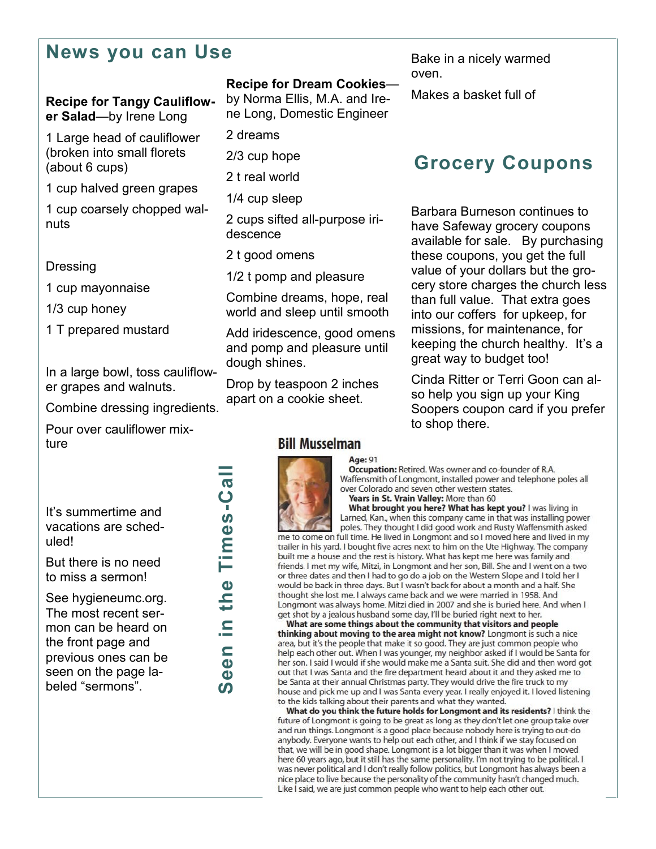#### **News you can Use**

#### **Recipe for Tangy Cauliflower Salad**—by Irene Long

1 Large head of cauliflower (broken into small florets (about 6 cups)

1 cup halved green grapes

1 cup coarsely chopped walnuts

#### **Dressing**

1 cup mayonnaise

1/3 cup honey

1 T prepared mustard

In a large bowl, toss cauliflower grapes and walnuts.

Combine dressing ingredients.

Pour over cauliflower mixture

It's summertime and vacations are scheduled!

But there is no need to miss a sermon!

See hygieneumc.org. The most recent sermon can be heard on the front page and previous ones can be seen on the page labeled "sermons".

**Seen in the Times** Seen in the Times-Call

#### **Recipe for Dream Cookies**—

by Norma Ellis, M.A. and Irene Long, Domestic Engineer

2 dreams

2/3 cup hope

2 t real world

1/4 cup sleep

2 cups sifted all-purpose iridescence

2 t good omens

1/2 t pomp and pleasure

Combine dreams, hope, real world and sleep until smooth

Add iridescence, good omens and pomp and pleasure until dough shines.

Drop by teaspoon 2 inches apart on a cookie sheet.

#### **Bill Musselman**



Age: 91 Occupation: Retired. Was owner and co-founder of R.A. Waffensmith of Longmont, installed power and telephone poles all over Colorado and seven other western states.

Years in St. Vrain Valley: More than 60 What brought you here? What has kept you? I was living in

Larned, Kan., when this company came in that was installing power poles. They thought I did good work and Rusty Waffensmith asked me to come on full time. He lived in Longmont and so I moved here and lived in my trailer in his yard. I bought five acres next to him on the Ute Highway. The company built me a house and the rest is history. What has kept me here was family and friends. I met my wife, Mitzi, in Longmont and her son, Bill. She and I went on a two or three dates and then I had to go do a job on the Western Slope and I told her I would be back in three days. But I wasn't back for about a month and a half. She thought she lost me. I always came back and we were married in 1958. And Longmont was always home. Mitzi died in 2007 and she is buried here. And when I

get shot by a jealous husband some day, I'll be buried right next to her. What are some things about the community that visitors and people thinking about moving to the area might not know? Longmont is such a nice area, but it's the people that make it so good. They are just common people who help each other out. When I was younger, my neighbor asked if I would be Santa for her son. I said I would if she would make me a Santa suit. She did and then word got out that I was Santa and the fire department heard about it and they asked me to be Santa at their annual Christmas party. They would drive the fire truck to my house and pick me up and I was Santa every year. I really enjoyed it. I loved listening to the kids talking about their parents and what they wanted.

What do you think the future holds for Longmont and its residents? I think the future of Longmont is going to be great as long as they don't let one group take over and run things. Longmont is a good place because nobody here is trying to out-do anybody. Everyone wants to help out each other, and I think if we stay focused on that, we will be in good shape. Longmont is a lot bigger than it was when I moved here 60 years ago, but it still has the same personality. I'm not trying to be political. I was never political and I don't really follow politics, but Longmont has always been a nice place to live because the personality of the community hasn't changed much. Like I said, we are just common people who want to help each other out.

Bake in a nicely warmed oven.

Makes a basket full of

### **Grocery Coupons**

Barbara Burneson continues to have Safeway grocery coupons available for sale. By purchasing these coupons, you get the full value of your dollars but the grocery store charges the church less than full value. That extra goes into our coffers for upkeep, for missions, for maintenance, for keeping the church healthy. It's a great way to budget too!

Cinda Ritter or Terri Goon can also help you sign up your King Soopers coupon card if you prefer to shop there.